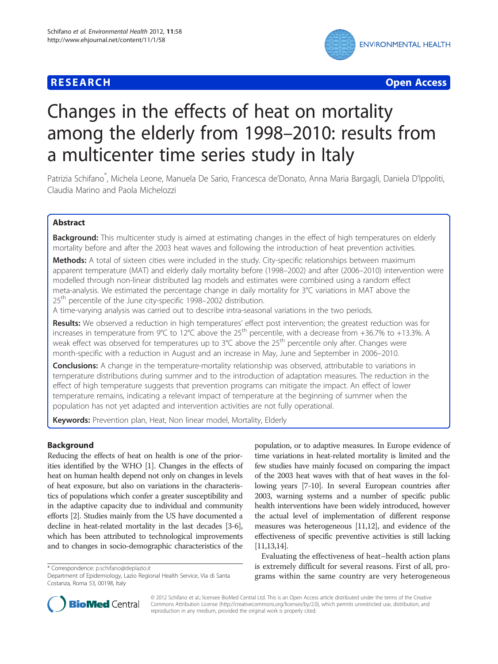## **RESEARCH CHEAR CHEAR CHEAR CHEAR CHEAR CHEAR CHEAR CHEAR CHEAR CHEAR CHEAR CHEAR CHEAR CHEAR CHEAR CHEAR CHEAR**



# Changes in the effects of heat on mortality among the elderly from 1998–2010: results from a multicenter time series study in Italy

Patrizia Schifano\* , Michela Leone, Manuela De Sario, Francesca de'Donato, Anna Maria Bargagli, Daniela D'Ippoliti, Claudia Marino and Paola Michelozzi

## Abstract

Background: This multicenter study is aimed at estimating changes in the effect of high temperatures on elderly mortality before and after the 2003 heat waves and following the introduction of heat prevention activities.

**Methods:** A total of sixteen cities were included in the study. City-specific relationships between maximum apparent temperature (MAT) and elderly daily mortality before (1998–2002) and after (2006–2010) intervention were modelled through non-linear distributed lag models and estimates were combined using a random effect meta-analysis. We estimated the percentage change in daily mortality for 3°C variations in MAT above the 25<sup>th</sup> percentile of the June city-specific 1998–2002 distribution.

A time-varying analysis was carried out to describe intra-seasonal variations in the two periods.

Results: We observed a reduction in high temperatures' effect post intervention; the greatest reduction was for increases in temperature from 9°C to 12°C above the 25<sup>th</sup> percentile, with a decrease from +36.7% to +13.3%. A weak effect was observed for temperatures up to  $3^{\circ}C$  above the  $25^{\text{th}}$  percentile only after. Changes were month-specific with a reduction in August and an increase in May, June and September in 2006–2010.

**Conclusions:** A change in the temperature-mortality relationship was observed, attributable to variations in temperature distributions during summer and to the introduction of adaptation measures. The reduction in the effect of high temperature suggests that prevention programs can mitigate the impact. An effect of lower temperature remains, indicating a relevant impact of temperature at the beginning of summer when the population has not yet adapted and intervention activities are not fully operational.

Keywords: Prevention plan, Heat, Non linear model, Mortality, Elderly

#### Background

Reducing the effects of heat on health is one of the priorities identified by the WHO [\[1](#page-7-0)]. Changes in the effects of heat on human health depend not only on changes in levels of heat exposure, but also on variations in the characteristics of populations which confer a greater susceptibility and in the adaptive capacity due to individual and community efforts [\[2](#page-7-0)]. Studies mainly from the US have documented a decline in heat-related mortality in the last decades [[3](#page-7-0)-[6](#page-7-0)], which has been attributed to technological improvements and to changes in socio-demographic characteristics of the

\* Correspondence: [p.schifano@deplazio.it](mailto:p.schifano@deplazio.it)

population, or to adaptive measures. In Europe evidence of time variations in heat-related mortality is limited and the few studies have mainly focused on comparing the impact of the 2003 heat waves with that of heat waves in the following years [\[7-10](#page-8-0)]. In several European countries after 2003, warning systems and a number of specific public health interventions have been widely introduced, however the actual level of implementation of different response measures was heterogeneous [\[11,12\]](#page-8-0), and evidence of the effectiveness of specific preventive activities is still lacking [[11,13,14\]](#page-8-0).

Evaluating the effectiveness of heat–health action plans is extremely difficult for several reasons. First of all, programs within the same country are very heterogeneous



© 2012 Schifano et al.; licensee BioMed Central Ltd. This is an Open Access article distributed under the terms of the Creative Commons Attribution License [\(http://creativecommons.org/licenses/by/2.0\)](http://creativecommons.org/licenses/by/2.0), which permits unrestricted use, distribution, and reproduction in any medium, provided the original work is properly cited.

Department of Epidemiology, Lazio Regional Health Service, Via di Santa Costanza, Roma 53, 00198, Italy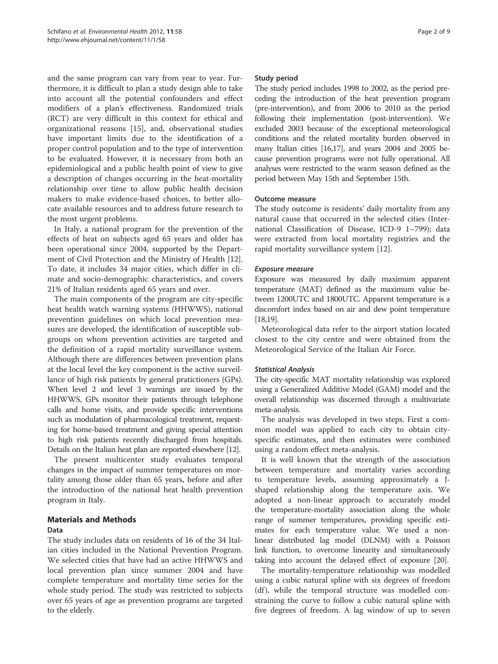and the same program can vary from year to year. Furthermore, it is difficult to plan a study design able to take into account all the potential confounders and effect modifiers of a plan's effectiveness. Randomized trials (RCT) are very difficult in this context for ethical and organizational reasons [\[15](#page-8-0)], and, observational studies have important limits due to the identification of a proper control population and to the type of intervention to be evaluated. However, it is necessary from both an epidemiological and a public health point of view to give a description of changes occurring in the heat-mortality relationship over time to allow public health decision makers to make evidence-based choices, to better allocate available resources and to address future research to the most urgent problems.

In Italy, a national program for the prevention of the effects of heat on subjects aged 65 years and older has been operational since 2004, supported by the Department of Civil Protection and the Ministry of Health [\[12](#page-8-0)]. To date, it includes 34 major cities, which differ in climate and socio-demographic characteristics, and covers 21% of Italian residents aged 65 years and over.

The main components of the program are city-specific heat health watch warning systems (HHWWS), national prevention guidelines on which local prevention measures are developed, the identification of susceptible subgroups on whom prevention activities are targeted and the definition of a rapid mortality surveillance system. Although there are differences between prevention plans at the local level the key component is the active surveillance of high risk patients by general pratictioners (GPs). When level 2 and level 3 warnings are issued by the HHWWS, GPs monitor their patients through telephone calls and home visits, and provide specific interventions such as modulation of pharmacological treatment, requesting for home-based treatment and giving special attention to high risk patients recently discharged from hospitals. Details on the Italian heat plan are reported elsewhere [\[12\]](#page-8-0).

The present multicenter study evaluates temporal changes in the impact of summer temperatures on mortality among those older than 65 years, before and after the introduction of the national heat health prevention program in Italy.

## Materials and Methods

#### Data

The study includes data on residents of 16 of the 34 Italian cities included in the National Prevention Program. We selected cities that have had an active HHWWS and local prevention plan since summer 2004 and have complete temperature and mortality time series for the whole study period. The study was restricted to subjects over 65 years of age as prevention programs are targeted to the elderly.

### Study period

The study period includes 1998 to 2002, as the period preceding the introduction of the heat prevention program (pre-intervention), and from 2006 to 2010 as the period following their implementation (post-intervention). We excluded 2003 because of the exceptional meteorological conditions and the related mortality burden observed in many Italian cities [\[16,17\]](#page-8-0), and years 2004 and 2005 because prevention programs were not fully operational. All analyses were restricted to the warm season defined as the period between May 15th and September 15th.

## Outcome measure

The study outcome is residents' daily mortality from any natural cause that occurred in the selected cities (International Classification of Disease, ICD-9 1–799); data were extracted from local mortality registries and the rapid mortality surveillance system [[12\]](#page-8-0).

#### Exposure measure

Exposure was measured by daily maximum apparent temperature (MAT) defined as the maximum value between 1200UTC and 1800UTC. Apparent temperature is a discomfort index based on air and dew point temperature [[18,19](#page-8-0)].

Meteorological data refer to the airport station located closest to the city centre and were obtained from the Meteorological Service of the Italian Air Force.

## Statistical Analysis

The city-specific MAT mortality relationship was explored using a Generalized Additive Model (GAM) model and the overall relationship was discerned through a multivariate meta-analysis.

The analysis was developed in two steps. First a common model was applied to each city to obtain cityspecific estimates, and then estimates were combined using a random effect meta-analysis.

It is well known that the strength of the association between temperature and mortality varies according to temperature levels, assuming approximately a Jshaped relationship along the temperature axis. We adopted a non-linear approach to accurately model the temperature-mortality association along the whole range of summer temperatures, providing specific estimates for each temperature value. We used a nonlinear distributed lag model (DLNM) with a Poisson link function, to overcome linearity and simultaneously taking into account the delayed effect of exposure [\[20\]](#page-8-0).

The mortality-temperature relationship was modelled using a cubic natural spline with six degrees of freedom (df), while the temporal structure was modelled constraining the curve to follow a cubic natural spline with five degrees of freedom. A lag window of up to seven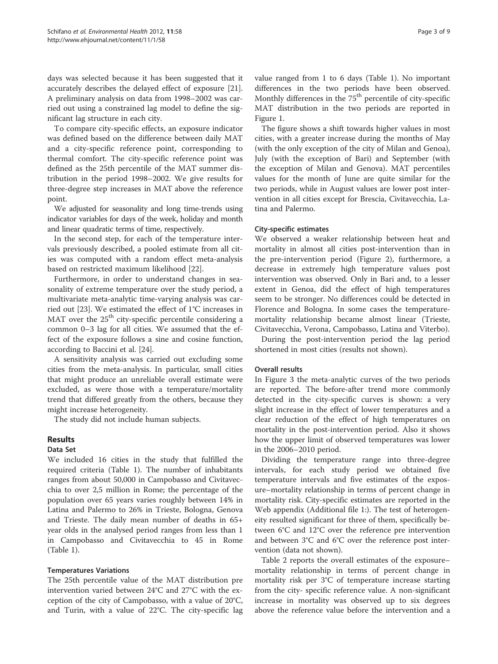days was selected because it has been suggested that it accurately describes the delayed effect of exposure [\[21](#page-8-0)]. A preliminary analysis on data from 1998–2002 was carried out using a constrained lag model to define the significant lag structure in each city.

To compare city-specific effects, an exposure indicator was defined based on the difference between daily MAT and a city-specific reference point, corresponding to thermal comfort. The city-specific reference point was defined as the 25th percentile of the MAT summer distribution in the period 1998–2002. We give results for three-degree step increases in MAT above the reference point.

We adjusted for seasonality and long time-trends using indicator variables for days of the week, holiday and month and linear quadratic terms of time, respectively.

In the second step, for each of the temperature intervals previously described, a pooled estimate from all cities was computed with a random effect meta-analysis based on restricted maximum likelihood [[22](#page-8-0)].

Furthermore, in order to understand changes in seasonality of extreme temperature over the study period, a multivariate meta-analytic time-varying analysis was carried out [\[23](#page-8-0)]. We estimated the effect of 1°C increases in MAT over the 25<sup>th</sup> city-specific percentile considering a common 0–3 lag for all cities. We assumed that the effect of the exposure follows a sine and cosine function, according to Baccini et al. [\[24\]](#page-8-0).

A sensitivity analysis was carried out excluding some cities from the meta-analysis. In particular, small cities that might produce an unreliable overall estimate were excluded, as were those with a temperature/mortality trend that differed greatly from the others, because they might increase heterogeneity.

The study did not include human subjects.

## Results

#### Data Set

We included 16 cities in the study that fulfilled the required criteria (Table [1\)](#page-3-0). The number of inhabitants ranges from about 50,000 in Campobasso and Civitavecchia to over 2,5 million in Rome; the percentage of the population over 65 years varies roughly between 14% in Latina and Palermo to 26% in Trieste, Bologna, Genova and Trieste. The daily mean number of deaths in 65+ year olds in the analysed period ranges from less than 1 in Campobasso and Civitavecchia to 45 in Rome (Table [1\)](#page-3-0).

#### Temperatures Variations

The 25th percentile value of the MAT distribution pre intervention varied between 24°C and 27°C with the exception of the city of Campobasso, with a value of 20°C, and Turin, with a value of 22°C. The city-specific lag value ranged from 1 to 6 days (Table [1\)](#page-3-0). No important differences in the two periods have been observed. Monthly differences in the  $75<sup>th</sup>$  percentile of city-specific MAT distribution in the two periods are reported in Figure [1](#page-4-0).

The figure shows a shift towards higher values in most cities, with a greater increase during the months of May (with the only exception of the city of Milan and Genoa), July (with the exception of Bari) and September (with the exception of Milan and Genova). MAT percentiles values for the month of June are quite similar for the two periods, while in August values are lower post intervention in all cities except for Brescia, Civitavecchia, Latina and Palermo.

#### City-specific estimates

We observed a weaker relationship between heat and mortality in almost all cities post-intervention than in the pre-intervention period (Figure [2](#page-5-0)), furthermore, a decrease in extremely high temperature values post intervention was observed. Only in Bari and, to a lesser extent in Genoa, did the effect of high temperatures seem to be stronger. No differences could be detected in Florence and Bologna. In some cases the temperaturemortality relationship became almost linear (Trieste, Civitavecchia, Verona, Campobasso, Latina and Viterbo).

During the post-intervention period the lag period shortened in most cities (results not shown).

#### Overall results

In Figure [3](#page-6-0) the meta-analytic curves of the two periods are reported. The before-after trend more commonly detected in the city-specific curves is shown: a very slight increase in the effect of lower temperatures and a clear reduction of the effect of high temperatures on mortality in the post-intervention period. Also it shows how the upper limit of observed temperatures was lower in the 2006–2010 period.

Dividing the temperature range into three-degree intervals, for each study period we obtained five temperature intervals and five estimates of the exposure–mortality relationship in terms of percent change in mortality risk. City-specific estimates are reported in the Web appendix (Additional file [1:](#page-7-0)). The test of heterogeneity resulted significant for three of them, specifically between 6°C and 12°C over the reference pre intervention and between 3°C and 6°C over the reference post intervention (data not shown).

Table [2](#page-6-0) reports the overall estimates of the exposure– mortality relationship in terms of percent change in mortality risk per 3°C of temperature increase starting from the city- specific reference value. A non-significant increase in mortality was observed up to six degrees above the reference value before the intervention and a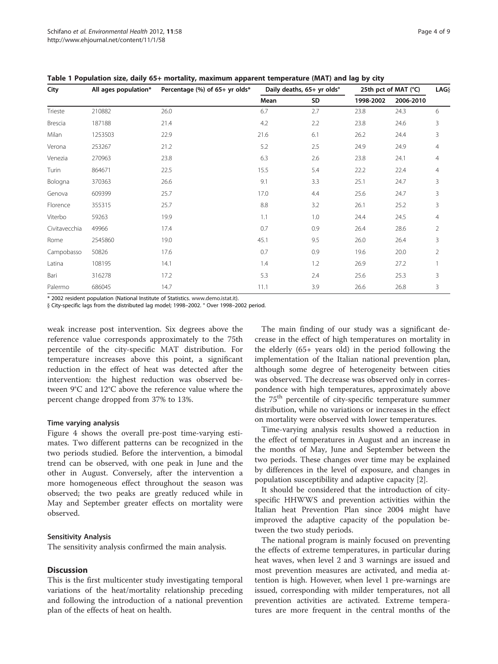| City           | All ages population* | Percentage (%) of 65+ yr olds* | Daily deaths, 65+ yr olds° |     | 25th pct of MAT (°C) |           | LAGS           |
|----------------|----------------------|--------------------------------|----------------------------|-----|----------------------|-----------|----------------|
|                |                      |                                | Mean                       | SD  | 1998-2002            | 2006-2010 |                |
| Trieste        | 210882               | 26.0                           | 6.7                        | 2.7 | 23.8                 | 24.3      | 6              |
| <b>Brescia</b> | 187188               | 21.4                           | 4.2                        | 2.2 | 23.8                 | 24.6      | 3              |
| Milan          | 1253503              | 22.9                           | 21.6                       | 6.1 | 26.2                 | 24.4      | 3              |
| Verona         | 253267               | 21.2                           | 5.2                        | 2.5 | 24.9                 | 24.9      | 4              |
| Venezia        | 270963               | 23.8                           | 6.3                        | 2.6 | 23.8                 | 24.1      | $\overline{4}$ |
| Turin          | 864671               | 22.5                           | 15.5                       | 5.4 | 22.2                 | 22.4      | 4              |
| Bologna        | 370363               | 26.6                           | 9.1                        | 3.3 | 25.1                 | 24.7      | 3              |
| Genova         | 609399               | 25.7                           | 17.0                       | 4.4 | 25.6                 | 24.7      | 3              |
| Florence       | 355315               | 25.7                           | 8.8                        | 3.2 | 26.1                 | 25.2      | 3              |
| Viterbo        | 59263                | 19.9                           | 1.1                        | 1.0 | 24.4                 | 24.5      | 4              |
| Civitavecchia  | 49966                | 17.4                           | 0.7                        | 0.9 | 26.4                 | 28.6      | $\overline{2}$ |
| Rome           | 2545860              | 19.0                           | 45.1                       | 9.5 | 26.0                 | 26.4      | 3              |
| Campobasso     | 50826                | 17.6                           | 0.7                        | 0.9 | 19.6                 | 20.0      | $\overline{2}$ |
| Latina         | 108195               | 14.1                           | 1.4                        | 1.2 | 26.9                 | 27.2      |                |
| Bari           | 316278               | 17.2                           | 5.3                        | 2.4 | 25.6                 | 25.3      | 3              |
| Palermo        | 686045               | 14.7                           | 11.1                       | 3.9 | 26.6                 | 26.8      | 3              |

<span id="page-3-0"></span>Table 1 Population size, daily 65+ mortality, maximum apparent temperature (MAT) and lag by city

\* 2002 resident population (National Institute of Statistics. [www.demo.istat.it](http://www.demo.istat.it)).

} City-specific lags from the distributed lag model; 1998–2002. ° Over 1998–2002 period.

weak increase post intervention. Six degrees above the reference value corresponds approximately to the 75th percentile of the city-specific MAT distribution. For temperature increases above this point, a significant reduction in the effect of heat was detected after the intervention: the highest reduction was observed between 9°C and 12°C above the reference value where the percent change dropped from 37% to 13%.

#### Time varying analysis

Figure [4](#page-7-0) shows the overall pre-post time-varying estimates. Two different patterns can be recognized in the two periods studied. Before the intervention, a bimodal trend can be observed, with one peak in June and the other in August. Conversely, after the intervention a more homogeneous effect throughout the season was observed; the two peaks are greatly reduced while in May and September greater effects on mortality were observed.

#### Sensitivity Analysis

The sensitivity analysis confirmed the main analysis.

## **Discussion**

This is the first multicenter study investigating temporal variations of the heat/mortality relationship preceding and following the introduction of a national prevention plan of the effects of heat on health.

The main finding of our study was a significant decrease in the effect of high temperatures on mortality in the elderly (65+ years old) in the period following the implementation of the Italian national prevention plan, although some degree of heterogeneity between cities was observed. The decrease was observed only in correspondence with high temperatures, approximately above the 75<sup>th</sup> percentile of city-specific temperature summer distribution, while no variations or increases in the effect on mortality were observed with lower temperatures.

Time-varying analysis results showed a reduction in the effect of temperatures in August and an increase in the months of May, June and September between the two periods. These changes over time may be explained by differences in the level of exposure, and changes in population susceptibility and adaptive capacity [[2](#page-7-0)].

It should be considered that the introduction of cityspecific HHWWS and prevention activities within the Italian heat Prevention Plan since 2004 might have improved the adaptive capacity of the population between the two study periods.

The national program is mainly focused on preventing the effects of extreme temperatures, in particular during heat waves, when level 2 and 3 warnings are issued and most prevention measures are activated, and media attention is high. However, when level 1 pre-warnings are issued, corresponding with milder temperatures, not all prevention activities are activated. Extreme temperatures are more frequent in the central months of the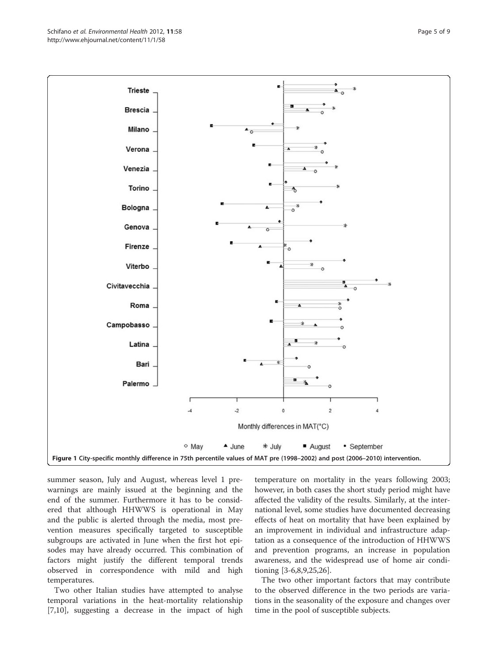<span id="page-4-0"></span>

summer season, July and August, whereas level 1 prewarnings are mainly issued at the beginning and the end of the summer. Furthermore it has to be considered that although HHWWS is operational in May and the public is alerted through the media, most prevention measures specifically targeted to susceptible subgroups are activated in June when the first hot episodes may have already occurred. This combination of factors might justify the different temporal trends observed in correspondence with mild and high temperatures.

Two other Italian studies have attempted to analyse temporal variations in the heat-mortality relationship [[7,10\]](#page-8-0), suggesting a decrease in the impact of high

temperature on mortality in the years following 2003; however, in both cases the short study period might have affected the validity of the results. Similarly, at the international level, some studies have documented decreasing effects of heat on mortality that have been explained by an improvement in individual and infrastructure adaptation as a consequence of the introduction of HHWWS and prevention programs, an increase in population awareness, and the widespread use of home air conditioning [[3-6](#page-7-0)[,8,9,25,26](#page-8-0)].

The two other important factors that may contribute to the observed difference in the two periods are variations in the seasonality of the exposure and changes over time in the pool of susceptible subjects.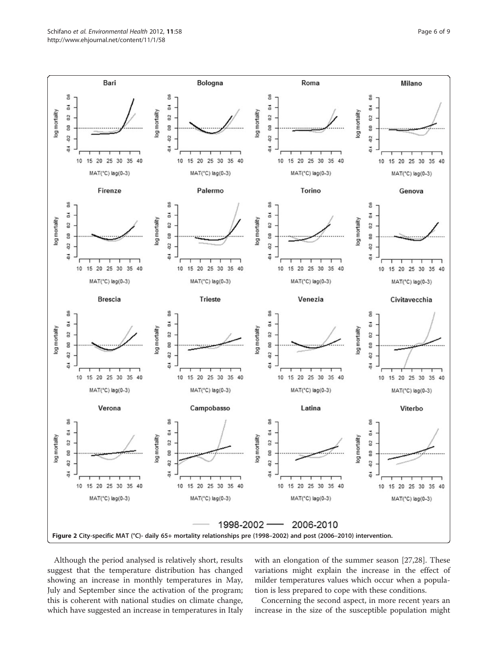<span id="page-5-0"></span>

Although the period analysed is relatively short, results suggest that the temperature distribution has changed showing an increase in monthly temperatures in May, July and September since the activation of the program; this is coherent with national studies on climate change, which have suggested an increase in temperatures in Italy with an elongation of the summer season [[27,28\]](#page-8-0). These variations might explain the increase in the effect of milder temperatures values which occur when a population is less prepared to cope with these conditions.

Concerning the second aspect, in more recent years an increase in the size of the susceptible population might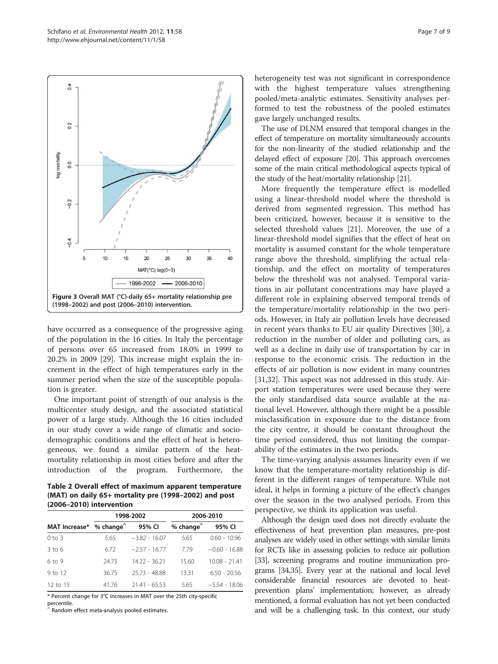<span id="page-6-0"></span>

have occurred as a consequence of the progressive aging of the population in the 16 cities. In Italy the percentage of persons over 65 increased from 18.0% in 1999 to 20.2% in 2009 [[29\]](#page-8-0). This increase might explain the increment in the effect of high temperatures early in the summer period when the size of the susceptible population is greater.

One important point of strength of our analysis is the multicenter study design, and the associated statistical power of a large study. Although the 16 cities included in our study cover a wide range of climatic and sociodemographic conditions and the effect of heat is heterogeneous, we found a similar pattern of the heatmortality relationship in most cities before and after the introduction of the program. Furthermore, the

Table 2 Overall effect of maximum apparent temperature (MAT) on daily 65+ mortality pre (1998–2002) and post (2006–2010) intervention

|                                     | 1998-2002 |                 | 2006-2010      |                 |  |
|-------------------------------------|-----------|-----------------|----------------|-----------------|--|
| MAT Increase* % change <sup>^</sup> |           | 95% CI          | $%$ change $^$ | 95% CI          |  |
| $0$ to $3$                          | 5.65      | $-3.82 - 16.07$ | 5.65           | $0.60 - 10.96$  |  |
| $3$ to 6                            | 6.72      | $-257 - 1677$   | 779            | $-0.60 - 16.88$ |  |
| 6 to 9                              | 24.73     | $14.22 - 36.21$ | 15.60          | $10.08 - 21.41$ |  |
| 9 to $12$                           | 36.75     | 25.73 - 48.88   | 13.31          | $6.50 - 20.56$  |  |
| 12 to $15$                          | 41.76     | $2141 - 6553$   | 5.65           | $-5.54 - 18.06$ |  |

\* Percent change for 3°C increases in MAT over the 25th city-specific percentile.

Random effect meta-analysis pooled estimates

heterogeneity test was not significant in correspondence with the highest temperature values strengthening pooled/meta-analytic estimates. Sensitivity analyses performed to test the robustness of the pooled estimates gave largely unchanged results.

The use of DLNM ensured that temporal changes in the effect of temperature on mortality simultaneously accounts for the non-linearity of the studied relationship and the delayed effect of exposure [[20](#page-8-0)]. This approach overcomes some of the main critical methodological aspects typical of the study of the heat/mortality relationship [\[21](#page-8-0)].

More frequently the temperature effect is modelled using a linear-threshold model where the threshold is derived from segmented regression. This method has been criticized, however, because it is sensitive to the selected threshold values [[21](#page-8-0)]. Moreover, the use of a linear-threshold model signifies that the effect of heat on mortality is assumed constant for the whole temperature range above the threshold, simplifying the actual relationship, and the effect on mortality of temperatures below the threshold was not analysed. Temporal variations in air pollutant concentrations may have played a different role in explaining observed temporal trends of the temperature/mortality relationship in the two periods. However, in Italy air pollution levels have decreased in recent years thanks to EU air quality Directives [\[30\]](#page-8-0), a reduction in the number of older and polluting cars, as well as a decline in daily use of transportation by car in response to the economic crisis. The reduction in the effects of air pollution is now evident in many countries [[31,32\]](#page-8-0). This aspect was not addressed in this study. Airport station temperatures were used because they were the only standardised data source available at the national level. However, although there might be a possible misclassification in exposure due to the distance from the city centre, it should be constant throughout the time period considered, thus not limiting the comparability of the estimates in the two periods.

The time-varying analysis assumes linearity even if we know that the temperature-mortality relationship is different in the different ranges of temperature. While not ideal, it helps in forming a picture of the effect's changes over the season in the two analysed periods. From this perspective, we think its application was useful.

Although the design used does not directly evaluate the effectiveness of heat prevention plan measures, pre-post analyses are widely used in other settings with similar limits for RCTs like in assessing policies to reduce air pollution [[33](#page-8-0)], screening programs and routine immunization programs [\[34,35](#page-8-0)]. Every year at the national and local level considerable financial resources are devoted to heatprevention plans' implementation; however, as already mentioned, a formal evaluation has not yet been conducted and will be a challenging task. In this context, our study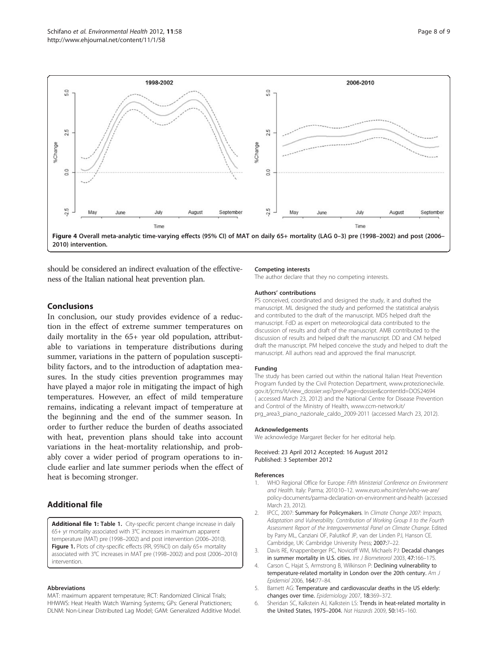<span id="page-7-0"></span>

should be considered an indirect evaluation of the effectiveness of the Italian national heat prevention plan.

### Conclusions

In conclusion, our study provides evidence of a reduction in the effect of extreme summer temperatures on daily mortality in the 65+ year old population, attributable to variations in temperature distributions during summer, variations in the pattern of population susceptibility factors, and to the introduction of adaptation measures. In the study cities prevention programmes may have played a major role in mitigating the impact of high temperatures. However, an effect of mild temperature remains, indicating a relevant impact of temperature at the beginning and the end of the summer season. In order to further reduce the burden of deaths associated with heat, prevention plans should take into account variations in the heat-mortality relationship, and probably cover a wider period of program operations to include earlier and late summer periods when the effect of heat is becoming stronger.

## Additional file

[Additional file 1:](http://www.biomedcentral.com/content/supplementary/1476-069X-11-58-S1.doc) Table 1. City-specific percent change increase in daily 65+ yr mortality associated with 3°C increases in maximum apparent temperature (MAT) pre (1998–2002) and post intervention (2006–2010). Figure 1. Plots of city-specific effects (RR, 95%CI) on daily 65+ mortality associated with 3°C increases in MAT pre (1998–2002) and post (2006–2010) intervention.

#### Abbreviations

MAT: maximum apparent temperature; RCT: Randomized Clinical Trials; HHWWS: Heat Health Watch Warning Systems; GPs: General Pratictioners; DLNM: Non-Linear Distributed Lag Model; GAM: Generalized Additive Model.

#### Competing interests

The author declare that they no competing interests.

#### Authors' contributions

PS conceived, coordinated and designed the study, it and drafted the manuscript. ML designed the study and performed the statistical analysis and contributed to the draft of the manuscript. MDS helped draft the manuscript. FdD as expert on meteorological data contributed to the discussion of results and draft of the manuscript. AMB contributed to the discussion of results and helped draft the manuscript. DD and CM helped draft the manuscript. PM helped conceive the study and helped to draft the manuscript. All authors read and approved the final manuscript.

#### Funding

The study has been carried out within the national Italian Heat Prevention Program funded by the Civil Protection Department, [www.protezionecivile.](http://www.protezionecivile.gov.it/jcms/it/view_dossier.wp?prevPage=dossier&contentId=DOS24694) [gov.it/jcms/it/view\\_dossier.wp?prevPage=dossier&contentId=DOS24694](http://www.protezionecivile.gov.it/jcms/it/view_dossier.wp?prevPage=dossier&contentId=DOS24694) ( accessed March 23, 2012) and the National Centre for Disease Prevention and Control of the Ministry of Health, [www.ccm-network.it/](http://www.ccm-network.it/prg_area3_piano_nazionale_caldo_2009-2011) [prg\\_area3\\_piano\\_nazionale\\_caldo\\_2009-2011](http://www.ccm-network.it/prg_area3_piano_nazionale_caldo_2009-2011) (accessed March 23, 2012).

#### Acknowledgements

We acknowledge Margaret Becker for her editorial help.

#### Received: 23 April 2012 Accepted: 16 August 2012 Published: 3 September 2012

#### References

- 1. WHO Regional Office for Europe: Fifth Ministerial Conference on Environment and Health. Italy: Parma; 2010:10–12. [www.euro.who.int/en/who-we-are/](www.euro.who.int/en/who-we-are/policy-documents/parma-declaration-on-environment-and-health) [policy-documents/parma-declaration-on-environment-and-health](www.euro.who.int/en/who-we-are/policy-documents/parma-declaration-on-environment-and-health) (accessed March 23, 2012).
- 2. IPCC, 2007: Summary for Policymakers. In Climate Change 2007: Impacts, Adaptation and Vulnerability. Contribution of Working Group II to the Fourth Assessment Report of the Intergovernmental Panel on Climate Change. Edited by Parry ML, Canziani OF, Palutikof JP, van der Linden PJ, Hanson CE. Cambridge, UK: Cambridge University Press; 2007:7–22.
- Davis RE, Knappenberger PC, Novicoff WM, Michaels PJ: Decadal changes in summer mortality in U.S. cities. Int J Biometeorol 2003, 47:166–175.
- 4. Carson C, Hajat S, Armstrong B, Wilkinson P: Declining vulnerability to temperature-related mortality in London over the 20th century. Am J Epidemiol 2006, 164:77–84.
- 5. Barnett AG: Temperature and cardiovascular deaths in the US elderly: changes over time. Epidemiology 2007, 18:369–372.
- 6. Sheridan SC, Kalkstein AJ, Kalkstein LS: Trends in heat-related mortality in the United States, 1975–2004. Nat Hazards 2009, 50:145–160.